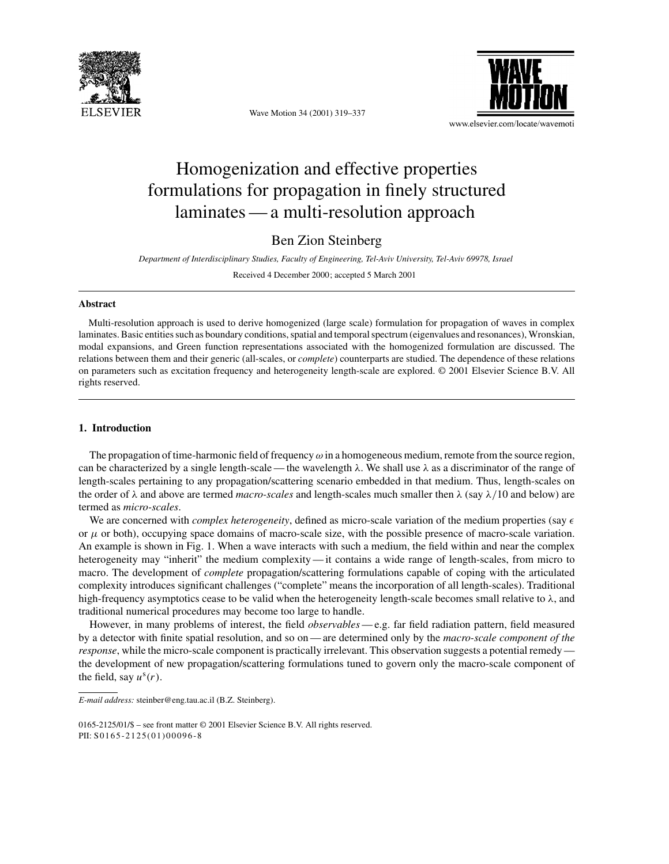

Wave Motion 34 (2001) 319–337



# Homogenization and effective properties formulations for propagation in finely structured laminates — a multi-resolution approach

# Ben Zion Steinberg

*Department of Interdisciplinary Studies, Faculty of Engineering, Tel-Aviv University, Tel-Aviv 69978, Israel*

Received 4 December 2000; accepted 5 March 2001

# **Abstract**

Multi-resolution approach is used to derive homogenized (large scale) formulation for propagation of waves in complex laminates. Basic entities such as boundary conditions, spatial and temporal spectrum (eigenvalues and resonances), Wronskian, modal expansions, and Green function representations associated with the homogenized formulation are discussed. The relations between them and their generic (all-scales, or *complete*) counterparts are studied. The dependence of these relations on parameters such as excitation frequency and heterogeneity length-scale are explored. © 2001 Elsevier Science B.V. All rights reserved.

# **1. Introduction**

The propagation of time-harmonic field of frequency  $\omega$  in a homogeneous medium, remote from the source region, can be characterized by a single length-scale — the wavelength  $\lambda$ . We shall use  $\lambda$  as a discriminator of the range of length-scales pertaining to any propagation/scattering scenario embedded in that medium. Thus, length-scales on the order of λ and above are termed *macro-scales* and length-scales much smaller then λ (say λ/10 and below) are termed as *micro-scales*.

We are concerned with *complex heterogeneity*, defined as micro-scale variation of the medium properties (say  $\epsilon$ or  $\mu$  or both), occupying space domains of macro-scale size, with the possible presence of macro-scale variation. An example is shown in Fig. 1. When a wave interacts with such a medium, the field within and near the complex heterogeneity may "inherit" the medium complexity — it contains a wide range of length-scales, from micro to macro. The development of *complete* propagation/scattering formulations capable of coping with the articulated complexity introduces significant challenges ("complete" means the incorporation of all length-scales). Traditional high-frequency asymptotics cease to be valid when the heterogeneity length-scale becomes small relative to λ, and traditional numerical procedures may become too large to handle.

However, in many problems of interest, the field *observables* — e.g. far field radiation pattern, field measured by a detector with finite spatial resolution, and so on — are determined only by the *macro-scale component of the response*, while the micro-scale component is practically irrelevant. This observation suggests a potential remedy the development of new propagation/scattering formulations tuned to govern only the macro-scale component of the field, say  $u^s(r)$ .

*E-mail address:* steinber@eng.tau.ac.il (B.Z. Steinberg).

<sup>0165-2125/01/\$ –</sup> see front matter © 2001 Elsevier Science B.V. All rights reserved. PII: S0165-2125(01)00096-8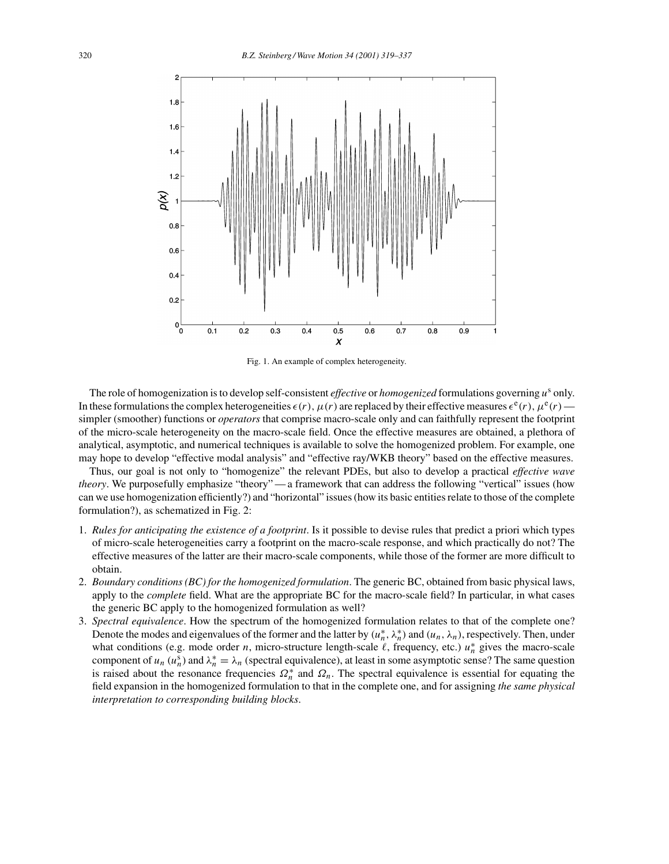

Fig. 1. An example of complex heterogeneity.

The role of homogenization is to develop self-consistent *effective* or *homogenized* formulations governing u<sup>s</sup> only. In these formulations the complex heterogeneities  $\epsilon(r)$ ,  $\mu(r)$  are replaced by their effective measures  $\epsilon^e(r)$ ,  $\mu^e(r)$  simpler (smoother) functions or *operators* that comprise macro-scale only and can faithfully represent the footprint of the micro-scale heterogeneity on the macro-scale field. Once the effective measures are obtained, a plethora of analytical, asymptotic, and numerical techniques is available to solve the homogenized problem. For example, one may hope to develop "effective modal analysis" and "effective ray/WKB theory" based on the effective measures.

Thus, our goal is not only to "homogenize" the relevant PDEs, but also to develop a practical *effective wave theory*. We purposefully emphasize "theory" — a framework that can address the following "vertical" issues (how can we use homogenization efficiently?) and "horizontal" issues (how its basic entities relate to those of the complete formulation?), as schematized in Fig. 2:

- 1. *Rules for anticipating the existence of a footprint*. Is it possible to devise rules that predict a priori which types of micro-scale heterogeneities carry a footprint on the macro-scale response, and which practically do not? The effective measures of the latter are their macro-scale components, while those of the former are more difficult to obtain.
- 2. *Boundary conditions (BC) for the homogenized formulation*. The generic BC, obtained from basic physical laws, apply to the *complete* field. What are the appropriate BC for the macro-scale field? In particular, in what cases the generic BC apply to the homogenized formulation as well?
- 3. *Spectral equivalence*. How the spectrum of the homogenized formulation relates to that of the complete one? Denote the modes and eigenvalues of the former and the latter by  $(u_n^*, \lambda_n^*)$  and  $(u_n, \lambda_n)$ , respectively. Then, under what conditions (e.g. mode order *n*, micro-structure length-scale  $\ell$ , frequency, etc.)  $u_n^*$  gives the macro-scale component of  $u_n$  ( $u_n^s$ ) and  $\lambda_n^* = \lambda_n$  (spectral equivalence), at least in some asymptotic sense? The same question is raised about the resonance frequencies  $\Omega_n^*$  and  $\Omega_n$ . The spectral equivalence is essential for equating the field expansion in the homogenized formulation to that in the complete one, and for assigning *the same physical interpretation to corresponding building blocks*.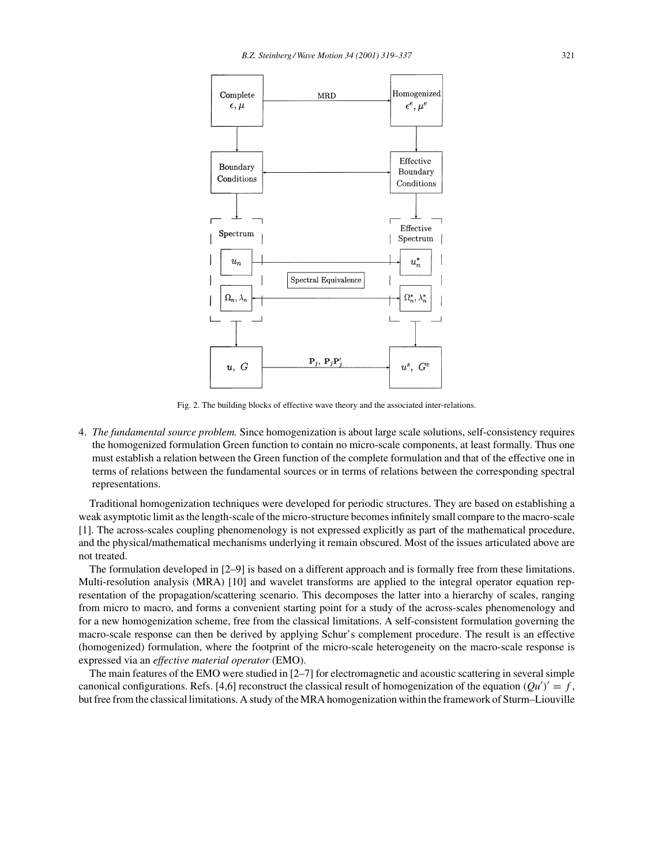

Fig. 2. The building blocks of effective wave theory and the associated inter-relations.

4. *The fundamental source problem.* Since homogenization is about large scale solutions, self-consistency requires the homogenized formulation Green function to contain no micro-scale components, at least formally. Thus one must establish a relation between the Green function of the complete formulation and that of the effective one in terms of relations between the fundamental sources or in terms of relations between the corresponding spectral representations.

Traditional homogenization techniques were developed for periodic structures. They are based on establishing a weak asymptotic limit as the length-scale of the micro-structure becomes infinitely small compare to the macro-scale [1]. The across-scales coupling phenomenology is not expressed explicitly as part of the mathematical procedure, and the physical/mathematical mechanisms underlying it remain obscured. Most of the issues articulated above are not treated.

The formulation developed in [2–9] is based on a different approach and is formally free from these limitations. Multi-resolution analysis (MRA) [10] and wavelet transforms are applied to the integral operator equation representation of the propagation/scattering scenario. This decomposes the latter into a hierarchy of scales, ranging from micro to macro, and forms a convenient starting point for a study of the across-scales phenomenology and for a new homogenization scheme, free from the classical limitations. A self-consistent formulation governing the macro-scale response can then be derived by applying Schur's complement procedure. The result is an effective (homogenized) formulation, where the footprint of the micro-scale heterogeneity on the macro-scale response is expressed via an *effective material operator* (EMO).

The main features of the EMO were studied in [2–7] for electromagnetic and acoustic scattering in several simple canonical configurations. Refs. [4,6] reconstruct the classical result of homogenization of the equation  $(Qu')' = f$ , but free from the classical limitations. A study of the MRA homogenization within the framework of Sturm–Liouville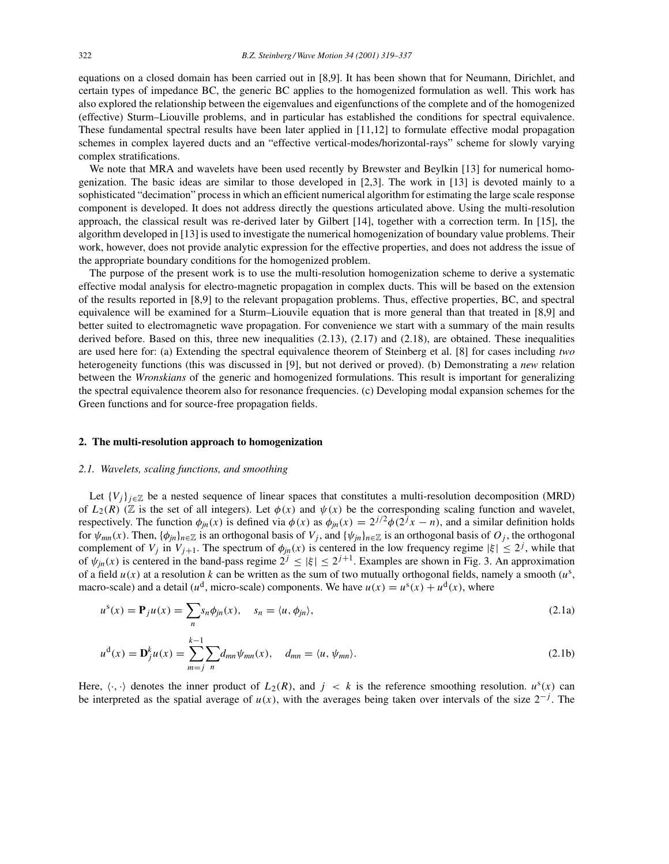equations on a closed domain has been carried out in [8,9]. It has been shown that for Neumann, Dirichlet, and certain types of impedance BC, the generic BC applies to the homogenized formulation as well. This work has also explored the relationship between the eigenvalues and eigenfunctions of the complete and of the homogenized (effective) Sturm–Liouville problems, and in particular has established the conditions for spectral equivalence. These fundamental spectral results have been later applied in [11,12] to formulate effective modal propagation schemes in complex layered ducts and an "effective vertical-modes/horizontal-rays" scheme for slowly varying complex stratifications.

We note that MRA and wavelets have been used recently by Brewster and Beylkin [13] for numerical homogenization. The basic ideas are similar to those developed in [2,3]. The work in [13] is devoted mainly to a sophisticated "decimation" process in which an efficient numerical algorithm for estimating the large scale response component is developed. It does not address directly the questions articulated above. Using the multi-resolution approach, the classical result was re-derived later by Gilbert [14], together with a correction term. In [15], the algorithm developed in [13] is used to investigate the numerical homogenization of boundary value problems. Their work, however, does not provide analytic expression for the effective properties, and does not address the issue of the appropriate boundary conditions for the homogenized problem.

The purpose of the present work is to use the multi-resolution homogenization scheme to derive a systematic effective modal analysis for electro-magnetic propagation in complex ducts. This will be based on the extension of the results reported in [8,9] to the relevant propagation problems. Thus, effective properties, BC, and spectral equivalence will be examined for a Sturm–Liouvile equation that is more general than that treated in [8,9] and better suited to electromagnetic wave propagation. For convenience we start with a summary of the main results derived before. Based on this, three new inequalities (2.13), (2.17) and (2.18), are obtained. These inequalities are used here for: (a) Extending the spectral equivalence theorem of Steinberg et al. [8] for cases including *two* heterogeneity functions (this was discussed in [9], but not derived or proved). (b) Demonstrating a *new* relation between the *Wronskians* of the generic and homogenized formulations. This result is important for generalizing the spectral equivalence theorem also for resonance frequencies. (c) Developing modal expansion schemes for the Green functions and for source-free propagation fields.

# **2. The multi-resolution approach to homogenization**

#### *2.1. Wavelets, scaling functions, and smoothing*

Let  ${V_j}_{j \in \mathbb{Z}}$  be a nested sequence of linear spaces that constitutes a multi-resolution decomposition (MRD) of  $L_2(R)$  (Z is the set of all integers). Let  $\phi(x)$  and  $\psi(x)$  be the corresponding scaling function and wavelet, respectively. The function  $\phi_{in}(x)$  is defined via  $\phi(x)$  as  $\phi_{in}(x) = 2^{j/2}\phi(2^{j}x - n)$ , and a similar definition holds for  $\psi_{mn}(x)$ . Then,  ${\{\phi_{jn}\}}_{n \in \mathbb{Z}}$  is an orthogonal basis of  $V_j$ , and  ${\{\psi_{jn}\}}_{n \in \mathbb{Z}}$  is an orthogonal basis of  $O_j$ , the orthogonal complement of  $V_i$  in  $V_{i+1}$ . The spectrum of  $\phi_{in}(x)$  is centered in the low frequency regime  $|\xi| \leq 2^j$ , while that of  $\psi_{in}(x)$  is centered in the band-pass regime  $2^{j} \leq |\xi| \leq 2^{j+1}$ . Examples are shown in Fig. 3. An approximation of a field  $u(x)$  at a resolution k can be written as the sum of two mutually orthogonal fields, namely a smooth  $(u^s,$ macro-scale) and a detail ( $u^d$ , micro-scale) components. We have  $u(x) = u^s(x) + u^d(x)$ , where

$$
u^{s}(x) = \mathbf{P}_{j}u(x) = \sum_{n} s_{n} \phi_{jn}(x), \quad s_{n} = \langle u, \phi_{jn} \rangle, \tag{2.1a}
$$

$$
u^{d}(x) = \mathbf{D}_{j}^{k} u(x) = \sum_{m=j}^{k-1} \sum_{n} d_{mn} \psi_{mn}(x), \quad d_{mn} = \langle u, \psi_{mn} \rangle.
$$
 (2.1b)

Here,  $\langle \cdot, \cdot \rangle$  denotes the inner product of  $L_2(R)$ , and  $j < k$  is the reference smoothing resolution.  $u^s(x)$  can be interpreted as the spatial average of  $u(x)$ , with the averages being taken over intervals of the size  $2^{-j}$ . The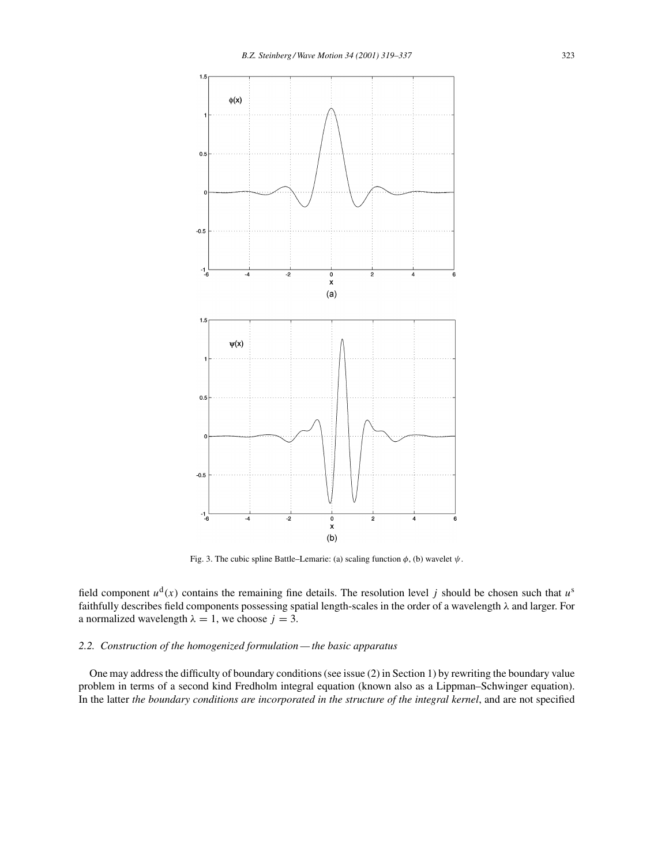

Fig. 3. The cubic spline Battle–Lemarie: (a) scaling function  $\phi$ , (b) wavelet  $\psi$ .

field component  $u^{d}(x)$  contains the remaining fine details. The resolution level j should be chosen such that  $u^{s}$ faithfully describes field components possessing spatial length-scales in the order of a wavelength λ and larger. For a normalized wavelength  $\lambda = 1$ , we choose  $j = 3$ .

# *2.2. Construction of the homogenized formulation — the basic apparatus*

One may address the difficulty of boundary conditions (see issue (2) in Section 1) by rewriting the boundary value problem in terms of a second kind Fredholm integral equation (known also as a Lippman–Schwinger equation). In the latter *the boundary conditions are incorporated in the structure of the integral kernel*, and are not specified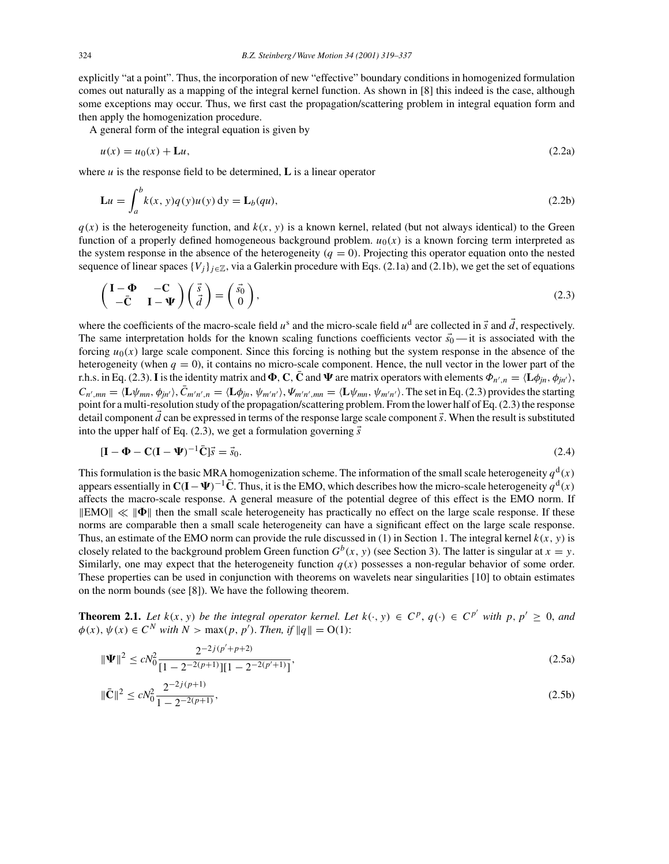explicitly "at a point". Thus, the incorporation of new "effective" boundary conditions in homogenized formulation comes out naturally as a mapping of the integral kernel function. As shown in [8] this indeed is the case, although some exceptions may occur. Thus, we first cast the propagation/scattering problem in integral equation form and then apply the homogenization procedure.

A general form of the integral equation is given by

$$
u(x) = u_0(x) + Lu,
$$
\n(2.2a)

where  $u$  is the response field to be determined,  $L$  is a linear operator

$$
\mathbf{L}u = \int_{a}^{b} k(x, y)q(y)u(y) dy = \mathbf{L}_{b}(qu),
$$
\n(2.2b)

 $q(x)$  is the heterogeneity function, and  $k(x, y)$  is a known kernel, related (but not always identical) to the Green function of a properly defined homogeneous background problem.  $u_0(x)$  is a known forcing term interpreted as the system response in the absence of the heterogeneity  $(q = 0)$ . Projecting this operator equation onto the nested sequence of linear spaces  $\{V_j\}_{j\in\mathbb{Z}}$ , via a Galerkin procedure with Eqs. (2.1a) and (2.1b), we get the set of equations

$$
\begin{pmatrix} \mathbf{I} - \mathbf{\Phi} & -\mathbf{C} \\ -\bar{\mathbf{C}} & \mathbf{I} - \mathbf{\Psi} \end{pmatrix} \begin{pmatrix} \vec{s} \\ \vec{d} \end{pmatrix} = \begin{pmatrix} \vec{s_0} \\ 0 \end{pmatrix},\tag{2.3}
$$

where the coefficients of the macro-scale field  $u^s$  and the micro-scale field  $u^d$  are collected in  $\vec{s}$  and  $\vec{d}$ , respectively. The same interpretation holds for the known scaling functions coefficients vector  $\vec{s}_0$  — it is associated with the forcing  $u_0(x)$  large scale component. Since this forcing is nothing but the system response in the absence of the heterogeneity (when  $q = 0$ ), it contains no micro-scale component. Hence, the null vector in the lower part of the r.h.s. in Eq. (2.3). I is the identity matrix and  $\Phi$ , C,  $\bar{C}$  and  $\Psi$  are matrix operators with elements  $\Phi_{n',n} = \langle \bar{L}\phi_{jn}, \phi_{jn'}\rangle$ ,  $C_{n',mn} = \langle L\psi_{mn}, \phi_{jn'}\rangle$ ,  $\bar{C}_{m'n',n} = \langle L\phi_{jn}, \psi_{m'n'}\rangle$ ,  $\Psi_{m'n',mn} = \langle L\psi_{mn}, \psi_{m'n'}\rangle$ . The set in Eq. (2.3) provides the starting point for a multi-resolution study of the propagation/scattering problem. From the lower half of Eq. (2.3) the response detail component d can be expressed in terms of the response large scale component  $\vec{s}$ . When the result is substituted into the upper half of Eq. (2.3), we get a formulation governing  $\vec{s}$ 

$$
[\mathbf{I} - \mathbf{\Phi} - \mathbf{C}(\mathbf{I} - \mathbf{\Psi})^{-1}\bar{\mathbf{C}}]\vec{s} = \vec{s}_0. \tag{2.4}
$$

This formulation is the basic MRA homogenization scheme. The information of the small scale heterogeneity  $q<sup>d</sup>(x)$ appears essentially in  $C(I - \Psi)^{-1}\bar{C}$ . Thus, it is the EMO, which describes how the micro-scale heterogeneity  $q^d(x)$ affects the macro-scale response. A general measure of the potential degree of this effect is the EMO norm. If  $\Vert$ EMO $\Vert \ll \Vert \Phi \Vert$  then the small scale heterogeneity has practically no effect on the large scale response. If these norms are comparable then a small scale heterogeneity can have a significant effect on the large scale response. Thus, an estimate of the EMO norm can provide the rule discussed in (1) in Section 1. The integral kernel  $k(x, y)$  is closely related to the background problem Green function  $G<sup>b</sup>(x, y)$  (see Section 3). The latter is singular at  $x = y$ . Similarly, one may expect that the heterogeneity function  $q(x)$  possesses a non-regular behavior of some order. These properties can be used in conjunction with theorems on wavelets near singularities [10] to obtain estimates on the norm bounds (see [8]). We have the following theorem.

**Theorem 2.1.** *Let*  $k(x, y)$  *be the integral operator kernel. Let*  $k(\cdot, y) \in C^p$ ,  $q(\cdot) \in C^{p'}$  *with*  $p, p' \ge 0$ , *and*  $\phi(x), \psi(x) \in C^N$  with  $N > \max(p, p')$ . Then, if  $||q|| = O(1)$ :

$$
\|\Psi\|^2 \le cN_0^2 \frac{2^{-2j(p'+p+2)}}{[1-2^{-2(p+1)}][1-2^{-2(p'+1)}]},
$$
\n(2.5a)

$$
\|\bar{\mathbf{C}}\|^2 \le cN_0^2 \frac{2^{-2j(p+1)}}{1 - 2^{-2(p+1)}},\tag{2.5b}
$$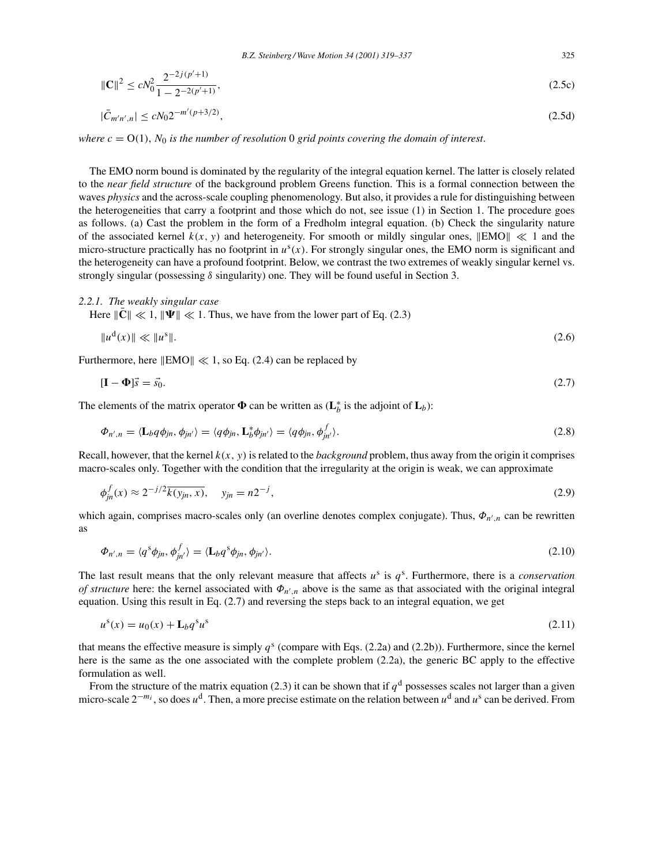$$
\|\mathbf{C}\|^2 \le cN_0^2 \frac{2^{-2j(p'+1)}}{1 - 2^{-2(p'+1)}},\tag{2.5c}
$$

$$
|\bar{C}_{m'n',n}| \le cN_0 2^{-m'(p+3/2)},\tag{2.5d}
$$

*where*  $c = O(1)$ ,  $N_0$  *is the number of resolution* 0 *grid points covering the domain of interest.* 

The EMO norm bound is dominated by the regularity of the integral equation kernel. The latter is closely related to the *near field structure* of the background problem Greens function. This is a formal connection between the waves *physics* and the across-scale coupling phenomenology. But also, it provides a rule for distinguishing between the heterogeneities that carry a footprint and those which do not, see issue (1) in Section 1. The procedure goes as follows. (a) Cast the problem in the form of a Fredholm integral equation. (b) Check the singularity nature of the associated kernel  $k(x, y)$  and heterogeneity. For smooth or mildly singular ones,  $\|\text{EMO}\| \ll 1$  and the micro-structure practically has no footprint in  $u^s(x)$ . For strongly singular ones, the EMO norm is significant and the heterogeneity can have a profound footprint. Below, we contrast the two extremes of weakly singular kernel vs. strongly singular (possessing  $\delta$  singularity) one. They will be found useful in Section 3.

#### *2.2.1. The weakly singular case*

Here  $\|\bar{\mathbf{C}}\| \ll 1$ ,  $\|\bar{\mathbf{\Psi}}\| \ll 1$ . Thus, we have from the lower part of Eq. (2.3)

$$
\|u^d(x)\| \ll \|u^s\|.\tag{2.6}
$$

Furthermore, here  $\|EMO \| \ll 1$ , so Eq. (2.4) can be replaced by

$$
[\mathbf{I} - \mathbf{\Phi}]\vec{s} = \vec{s_0}.\tag{2.7}
$$

The elements of the matrix operator  $\Phi$  can be written as  $(\mathbf{L}_b^*)$  is the adjoint of  $\mathbf{L}_b$ ):

$$
\Phi_{n',n} = \langle \mathbf{L}_b q \phi_{jn}, \phi_{jn'} \rangle = \langle q \phi_{jn}, \mathbf{L}_b^* \phi_{jn'} \rangle = \langle q \phi_{jn}, \phi_{jn'}^f \rangle. \tag{2.8}
$$

Recall, however, that the kernel  $k(x, y)$  is related to the *background* problem, thus away from the origin it comprises macro-scales only. Together with the condition that the irregularity at the origin is weak, we can approximate

$$
\phi_{jn}^f(x) \approx 2^{-j/2} \overline{k(y_{jn}, x)}, \quad y_{jn} = n2^{-j}, \tag{2.9}
$$

which again, comprises macro-scales only (an overline denotes complex conjugate). Thus,  $\Phi_{n',n}$  can be rewritten as

$$
\Phi_{n',n} = \langle q^s \phi_{jn}, \phi_{jn'}^f \rangle = \langle \mathbf{L}_b q^s \phi_{jn}, \phi_{jn'} \rangle. \tag{2.10}
$$

The last result means that the only relevant measure that affects  $u^s$  is  $q^s$ . Furthermore, there is a *conservation of structure* here: the kernel associated with  $\Phi_{n',n}$  above is the same as that associated with the original integral equation. Using this result in Eq. (2.7) and reversing the steps back to an integral equation, we get

$$
u^{s}(x) = u_{0}(x) + L_{b}q^{s}u^{s}
$$
\n(2.11)

that means the effective measure is simply  $q^s$  (compare with Eqs. (2.2a) and (2.2b)). Furthermore, since the kernel here is the same as the one associated with the complete problem (2.2a), the generic BC apply to the effective formulation as well.

From the structure of the matrix equation (2.3) it can be shown that if  $q<sup>d</sup>$  possesses scales not larger than a given micro-scale  $2^{-m_i}$ , so does  $u^d$ . Then, a more precise estimate on the relation between  $u^d$  and  $u^s$  can be derived. From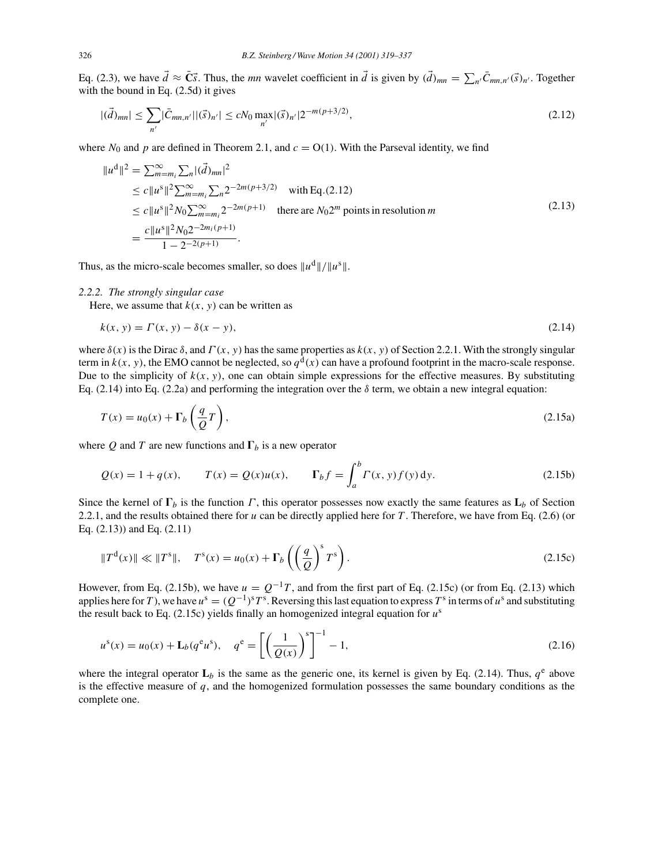Eq. (2.3), we have  $\vec{d} \approx \vec{C}\vec{s}$ . Thus, the *mn* wavelet coefficient in  $\vec{d}$  is given by  $(\vec{d})_{mn} = \sum_{n'} \vec{C}_{mn,n'}(\vec{s})_{n'}$ . Together with the bound in Eq. (2.5d) it gives

$$
|(\vec{d})_{mn}| \le \sum_{n'} |\bar{C}_{mn,n'}| |(\vec{s})_{n'}| \le cN_0 \max_{n'} |(\vec{s})_{n'}| 2^{-m(p+3/2)}, \tag{2.12}
$$

where  $N_0$  and p are defined in Theorem 2.1, and  $c = O(1)$ . With the Parseval identity, we find

$$
||u^d||^2 = \sum_{m=m_i}^{\infty} \sum_n |(\vec{d})_{mn}|^2
$$
  
\n
$$
\leq c||u^s||^2 \sum_{m=m_i}^{\infty} \sum_n 2^{-2m(p+3/2)} \quad \text{with Eq. (2.12)}
$$
  
\n
$$
\leq c||u^s||^2 N_0 \sum_{m=m_i}^{\infty} 2^{-2m(p+1)} \quad \text{there are } N_0 2^m \text{ points in resolution } m
$$
  
\n
$$
= \frac{c||u^s||^2 N_0 2^{-2m_i(p+1)}}{1 - 2^{-2(p+1)}}.
$$
 (2.13)

Thus, as the micro-scale becomes smaller, so does  $||u^d||/||u^s||$ .

## *2.2.2. The strongly singular case*

Here, we assume that  $k(x, y)$  can be written as

$$
k(x, y) = \Gamma(x, y) - \delta(x - y),
$$
\n(2.14)

where  $\delta(x)$  is the Dirac  $\delta$ , and  $\Gamma(x, y)$  has the same properties as  $k(x, y)$  of Section 2.2.1. With the strongly singular term in  $k(x, y)$ , the EMO cannot be neglected, so  $q^{\bar{d}}(x)$  can have a profound footprint in the macro-scale response. Due to the simplicity of  $k(x, y)$ , one can obtain simple expressions for the effective measures. By substituting Eq. (2.14) into Eq. (2.2a) and performing the integration over the  $\delta$  term, we obtain a new integral equation:

$$
T(x) = u_0(x) + \Gamma_b \left(\frac{q}{Q}T\right),\tag{2.15a}
$$

where Q and T are new functions and  $\Gamma_b$  is a new operator

$$
Q(x) = 1 + q(x), \qquad T(x) = Q(x)u(x), \qquad \Gamma_b f = \int_a^b \Gamma(x, y) f(y) \, dy.
$$
 (2.15b)

Since the kernel of  $\Gamma_b$  is the function  $\Gamma$ , this operator possesses now exactly the same features as  $\mathbf{L}_b$  of Section 2.2.1, and the results obtained there for  $u$  can be directly applied here for  $T$ . Therefore, we have from Eq. (2.6) (or Eq. (2.13)) and Eq. (2.11)

$$
||Td(x)|| \ll ||Ts||, \quad Ts(x) = u0(x) + \Gamma_b \left( \left( \frac{q}{Q} \right)^s T^s \right).
$$
 (2.15c)

However, from Eq. (2.15b), we have  $u = Q^{-1}T$ , and from the first part of Eq. (2.15c) (or from Eq. (2.13) which applies here for T), we have  $u^s = (Q^{-1})^s T^s$ . Reversing this last equation to express  $T^s$  in terms of  $u^s$  and substituting the result back to Eq. (2.15c) yields finally an homogenized integral equation for  $u^s$ 

$$
u^{s}(x) = u_{0}(x) + \mathbf{L}_{b}(q^{e}u^{s}), \quad q^{e} = \left[ \left( \frac{1}{Q(x)} \right)^{s} \right]^{-1} - 1, \tag{2.16}
$$

where the integral operator  $L_b$  is the same as the generic one, its kernel is given by Eq. (2.14). Thus,  $q^e$  above is the effective measure of  $q$ , and the homogenized formulation possesses the same boundary conditions as the complete one.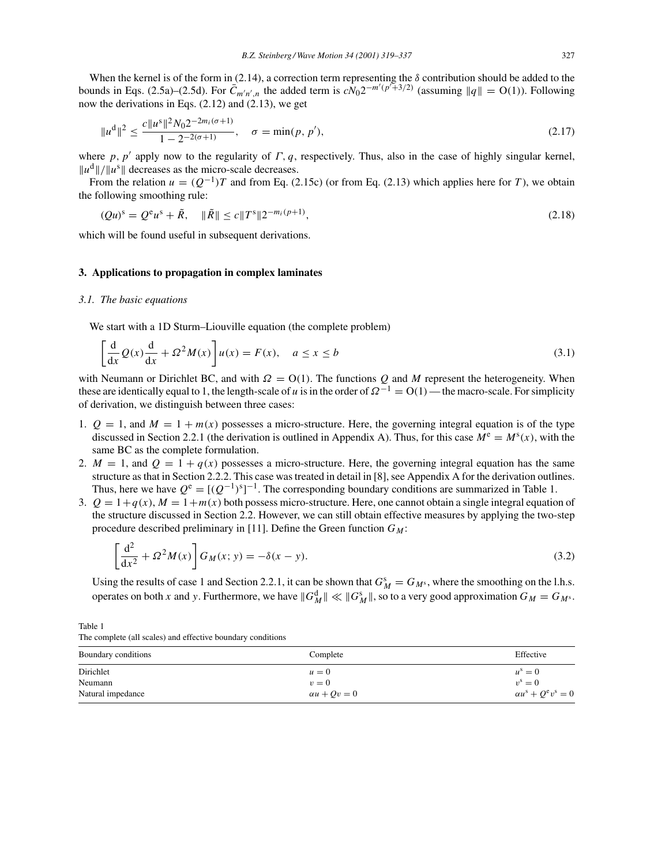When the kernel is of the form in (2.14), a correction term representing the  $\delta$  contribution should be added to the bounds in Eqs. (2.5a)–(2.5d). For  $\overline{C}_{m'n',n}$  the added term is  $cN_02^{-m'(p'+3/2)}$  (assuming  $||q|| = O(1)$ ). Following now the derivations in Eqs. (2.12) and (2.13), we get

$$
||u^d||^2 \le \frac{c||u^s||^2 N_0 2^{-2m_i(\sigma+1)}}{1 - 2^{-2(\sigma+1)}}, \quad \sigma = \min(p, p'), \tag{2.17}
$$

where p, p' apply now to the regularity of  $\Gamma$ , q, respectively. Thus, also in the case of highly singular kernel,  $||u^d||/||u^s||$  decreases as the micro-scale decreases.

From the relation  $u = (Q^{-1})T$  and from Eq. (2.15c) (or from Eq. (2.13) which applies here for T), we obtain the following smoothing rule:

$$
(Qu)s = Qeus + \tilde{R}, \quad \|\tilde{R}\| \le c\|Ts\|2^{-m_i(p+1)},
$$
\n(2.18)

which will be found useful in subsequent derivations.

#### **3. Applications to propagation in complex laminates**

# *3.1. The basic equations*

We start with a 1D Sturm–Liouville equation (the complete problem)

$$
\left[\frac{d}{dx}Q(x)\frac{d}{dx} + \Omega^2 M(x)\right]u(x) = F(x), \quad a \le x \le b
$$
\n(3.1)

with Neumann or Dirichlet BC, and with  $\Omega = O(1)$ . The functions Q and M represent the heterogeneity. When these are identically equal to 1, the length-scale of u is in the order of  $\Omega^{-1} = O(1)$  — the macro-scale. For simplicity of derivation, we distinguish between three cases:

- 1.  $Q = 1$ , and  $M = 1 + m(x)$  possesses a micro-structure. Here, the governing integral equation is of the type discussed in Section 2.2.1 (the derivation is outlined in Appendix A). Thus, for this case  $M^e = M^s(x)$ , with the same BC as the complete formulation.
- 2.  $M = 1$ , and  $Q = 1 + q(x)$  possesses a micro-structure. Here, the governing integral equation has the same structure as that in Section 2.2.2. This case was treated in detail in [8], see Appendix A for the derivation outlines. Thus, here we have  $Q^e = [(Q^{-1})^s]^{-1}$ . The corresponding boundary conditions are summarized in Table 1.
- 3.  $Q = 1 + q(x)$ ,  $M = 1 + m(x)$  both possess micro-structure. Here, one cannot obtain a single integral equation of the structure discussed in Section 2.2. However, we can still obtain effective measures by applying the two-step procedure described preliminary in [11]. Define the Green function  $G_M$ :

$$
\left[\frac{\mathrm{d}^2}{\mathrm{d}x^2} + \Omega^2 M(x)\right] G_M(x; y) = -\delta(x - y). \tag{3.2}
$$

Using the results of case 1 and Section 2.2.1, it can be shown that  $G_M^s = G_M s$ , where the smoothing on the l.h.s. operates on both x and y. Furthermore, we have  $||G_M^d|| \ll ||G_M^s||$ , so to a very good approximation  $G_M = G_M$ s.

Table 1 The complete (all scales) and effective boundary conditions

| Boundary conditions | Complete            | Effective                  |
|---------------------|---------------------|----------------------------|
| Dirichlet           | $u=0$               | $u^s=0$                    |
| Neumann             | $v=0$               | $v^s=0$                    |
| Natural impedance   | $\alpha u + Qv = 0$ | $\alpha u^s + Q^e v^s = 0$ |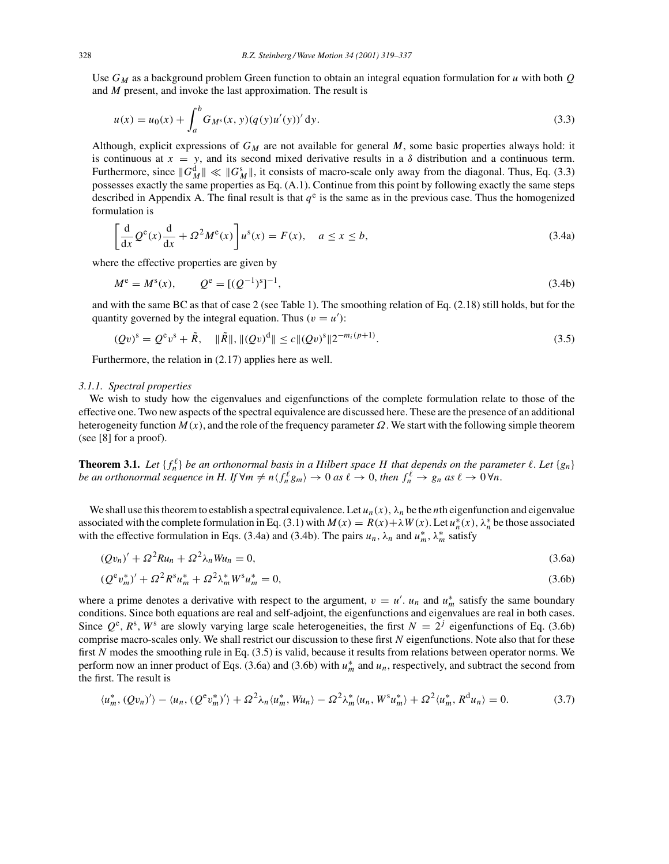Use  $G_M$  as a background problem Green function to obtain an integral equation formulation for u with both Q and M present, and invoke the last approximation. The result is

$$
u(x) = u_0(x) + \int_a^b G_{M^s}(x, y) (q(y)u'(y))' dy.
$$
\n(3.3)

Although, explicit expressions of  $G_M$  are not available for general M, some basic properties always hold: it is continuous at  $x = y$ , and its second mixed derivative results in a  $\delta$  distribution and a continuous term. Furthermore, since  $||G_M^d|| \ll ||G_M^s||$ , it consists of macro-scale only away from the diagonal. Thus, Eq. (3.3) possesses exactly the same properties as Eq. (A.1). Continue from this point by following exactly the same steps described in Appendix A. The final result is that  $q^e$  is the same as in the previous case. Thus the homogenized formulation is

$$
\left[\frac{d}{dx}\mathcal{Q}^{e}(x)\frac{d}{dx} + \Omega^{2}M^{e}(x)\right]u^{s}(x) = F(x), \quad a \le x \le b,
$$
\n(3.4a)

where the effective properties are given by

$$
M^{e} = M^{s}(x), \qquad Q^{e} = [(Q^{-1})^{s}]^{-1}, \qquad (3.4b)
$$

and with the same BC as that of case 2 (see Table 1). The smoothing relation of Eq. (2.18) still holds, but for the quantity governed by the integral equation. Thus  $(v = u')$ :

$$
(Qv)^{s} = Q^{e}v^{s} + \tilde{R}, \quad \|\tilde{R}\|, \|(Qv)^{d}\| \le c \|(Qv)^{s}\|2^{-m_{i}(p+1)}.
$$
\n(3.5)

Furthermore, the relation in (2.17) applies here as well.

#### *3.1.1. Spectral properties*

We wish to study how the eigenvalues and eigenfunctions of the complete formulation relate to those of the effective one. Two new aspects of the spectral equivalence are discussed here. These are the presence of an additional heterogeneity function  $M(x)$ , and the role of the frequency parameter  $\Omega$ . We start with the following simple theorem (see [8] for a proof).

**Theorem 3.1.** Let  $\{f_n^{\ell}\}$  be an orthonormal basis in a Hilbert space H that depends on the parameter  $\ell$ . Let  $\{g_n\}$ *be an orthonormal sequence in H. If*  $\forall m \neq n \langle f_n^{\ell} g_m \rangle \to 0$  *as*  $\ell \to 0$ , *then*  $f_n^{\ell} \to g_n$  *as*  $\ell \to 0$   $\forall n$ .

We shall use this theorem to establish a spectral equivalence. Let  $u_n(x)$ ,  $\lambda_n$  be the *n*th eigenfunction and eigenvalue associated with the complete formulation in Eq. (3.1) with  $M(x) = R(x) + \lambda W(x)$ . Let  $u_n^*(x)$ ,  $\lambda_n^*$  be those associated with the effective formulation in Eqs. (3.4a) and (3.4b). The pairs  $u_n$ ,  $\lambda_n$  and  $u_m^*$ ,  $\lambda_m^*$  satisfy

$$
(Qv_n)' + \Omega^2 Ru_n + \Omega^2 \lambda_n Wu_n = 0,\tag{3.6a}
$$

$$
(Q^{\rm e}v_m^*)' + \Omega^2 R^s u_m^* + \Omega^2 \lambda_m^* W^s u_m^* = 0, \tag{3.6b}
$$

where a prime denotes a derivative with respect to the argument,  $v = u'$ .  $u_n$  and  $u_m^*$  satisfy the same boundary conditions. Since both equations are real and self-adjoint, the eigenfunctions and eigenvalues are real in both cases. Since  $Q^e$ ,  $R^s$ ,  $W^s$  are slowly varying large scale heterogeneities, the first  $N = 2<sup>j</sup>$  eigenfunctions of Eq. (3.6b) comprise macro-scales only. We shall restrict our discussion to these first  $N$  eigenfunctions. Note also that for these first N modes the smoothing rule in Eq. (3.5) is valid, because it results from relations between operator norms. We perform now an inner product of Eqs. (3.6a) and (3.6b) with  $u_m^*$  and  $u_n$ , respectively, and subtract the second from the first. The result is

$$
\langle u_m^*, (Qv_n)'\rangle - \langle u_n, (Q^{\mathbf{e}} v_m^*)'\rangle + \Omega^2 \lambda_n \langle u_m^*, W u_n \rangle - \Omega^2 \lambda_m^* \langle u_n, W^s u_m^* \rangle + \Omega^2 \langle u_m^*, R^{\mathbf{d}} u_n \rangle = 0. \tag{3.7}
$$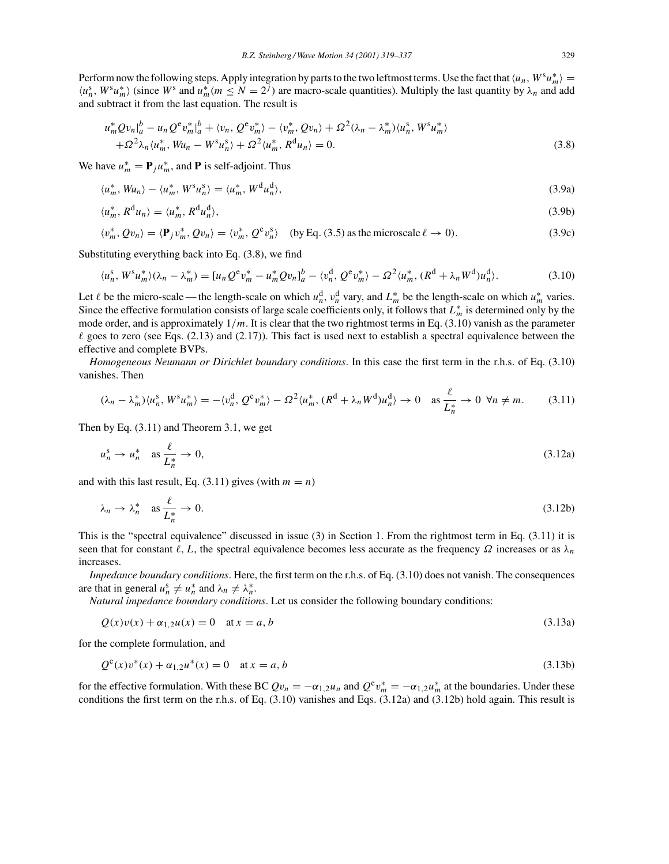Perform now the following steps. Apply integration by parts to the two leftmost terms. Use the fact that  $\langle u_n, W^s u_m^* \rangle =$  $\langle u_n^s, W^s u_m^* \rangle$  (since W<sup>s</sup> and  $u_m^*(m \le N = 2^j)$  are macro-scale quantities). Multiply the last quantity by  $\lambda_n$  and add and subtract it from the last equation. The result is

$$
u_m^* Q v_n \Big|_a^b - u_n Q^e v_m^* \Big|_a^b + \langle v_n, Q^e v_m^* \rangle - \langle v_m^*, Q v_n \rangle + \Omega^2 (\lambda_n - \lambda_m^*) \langle u_n^s, W^s u_m^* \rangle + \Omega^2 \lambda_n \langle u_m^*, W u_n - W^s u_n^* \rangle + \Omega^2 \langle u_m^*, R^d u_n \rangle = 0.
$$
 (3.8)

We have  $u_m^* = \mathbf{P}_j u_m^*$ , and **P** is self-adjoint. Thus

$$
\langle u_m^*, W u_n \rangle - \langle u_m^*, W^s u_n^s \rangle = \langle u_m^*, W^{\mathrm{d}} u_n^{\mathrm{d}} \rangle, \tag{3.9a}
$$

$$
\langle u_m^*, R^{\mathbf{d}} u_n \rangle = \langle u_m^*, R^{\mathbf{d}} u_n^{\mathbf{d}} \rangle,\tag{3.9b}
$$

$$
\langle v_m^*, Qv_n \rangle = \langle \mathbf{P}_j v_m^*, Qv_n \rangle = \langle v_m^*, Q^{\text{e}} v_n^{\text{s}} \rangle \quad \text{(by Eq. (3.5) as the microscale } \ell \to 0\text{).}
$$

Substituting everything back into Eq. (3.8), we find

$$
\langle u_n^s, W^s u_m^* \rangle (\lambda_n - \lambda_m^*) = [u_n Q^e v_m^* - u_m^* Q v_n]_a^b - \langle v_n^d, Q^e v_m^* \rangle - \Omega^2 \langle u_m^*, (R^d + \lambda_n W^d) u_n^d \rangle. \tag{3.10}
$$

Let  $\ell$  be the micro-scale — the length-scale on which  $u_n^d$ ,  $v_n^d$  vary, and  $L_m^*$  be the length-scale on which  $u_m^*$  varies. Since the effective formulation consists of large scale coefficients only, it follows that  $L_m^*$  is determined only by the mode order, and is approximately  $1/m$ . It is clear that the two rightmost terms in Eq. (3.10) vanish as the parameter  $\ell$  goes to zero (see Eqs. (2.13) and (2.17)). This fact is used next to establish a spectral equivalence between the effective and complete BVPs.

*Homogeneous Neumann or Dirichlet boundary conditions*. In this case the first term in the r.h.s. of Eq. (3.10) vanishes. Then

$$
(\lambda_n - \lambda_m^*) \langle u_n^s, W^s u_m^* \rangle = -\langle v_n^d, Q^e v_m^* \rangle - \Omega^2 \langle u_m^*, (R^d + \lambda_n W^d) u_n^d \rangle \to 0 \quad \text{as } \frac{\ell}{L_n^*} \to 0 \ \forall n \neq m. \tag{3.11}
$$

Then by Eq. (3.11) and Theorem 3.1, we get

$$
u_n^s \to u_n^* \quad \text{as } \frac{\ell}{L_n^*} \to 0,\tag{3.12a}
$$

and with this last result, Eq. (3.11) gives (with  $m = n$ )

$$
\lambda_n \to \lambda_n^* \quad \text{as } \frac{\ell}{L_n^*} \to 0. \tag{3.12b}
$$

This is the "spectral equivalence" discussed in issue (3) in Section 1. From the rightmost term in Eq. (3.11) it is seen that for constant  $\ell$ , L, the spectral equivalence becomes less accurate as the frequency  $\Omega$  increases or as  $\lambda_n$ increases.

*Impedance boundary conditions*. Here, the first term on the r.h.s. of Eq. (3.10) does not vanish. The consequences are that in general  $u_n^s \neq u_n^*$  and  $\lambda_n \neq \lambda_n^*$ .

*Natural impedance boundary conditions*. Let us consider the following boundary conditions:

$$
Q(x)v(x) + \alpha_{1,2}u(x) = 0 \quad \text{at } x = a, b \tag{3.13a}
$$

for the complete formulation, and

$$
Q^{e}(x)v^{*}(x) + \alpha_{1,2}u^{*}(x) = 0 \quad \text{at } x = a, b
$$
\n(3.13b)

for the effective formulation. With these BC  $Qv_n = -\alpha_{1,2}u_n$  and  $Q^e v_m^* = -\alpha_{1,2}u_m^*$  at the boundaries. Under these conditions the first term on the r.h.s. of Eq. (3.10) vanishes and Eqs. (3.12a) and (3.12b) hold again. This result is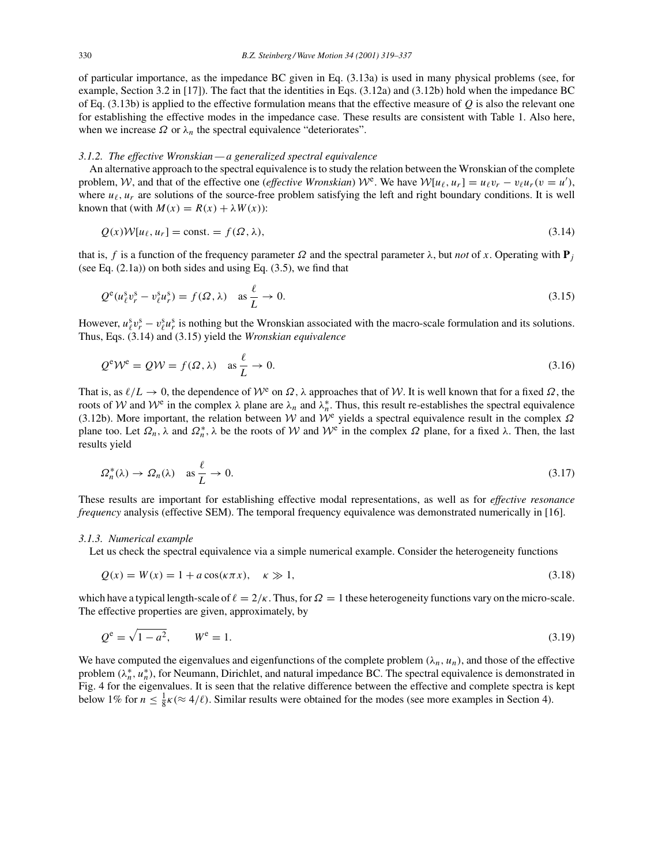of particular importance, as the impedance BC given in Eq. (3.13a) is used in many physical problems (see, for example, Section 3.2 in [17]). The fact that the identities in Eqs. (3.12a) and (3.12b) hold when the impedance BC of Eq.  $(3.13b)$  is applied to the effective formulation means that the effective measure of O is also the relevant one for establishing the effective modes in the impedance case. These results are consistent with Table 1. Also here, when we increase  $\Omega$  or  $\lambda_n$  the spectral equivalence "deteriorates".

# *3.1.2. The effective Wronskian — a generalized spectral equivalence*

An alternative approach to the spectral equivalence is to study the relation between the Wronskian of the complete problem, W, and that of the effective one (*effective Wronskian*) W<sup>e</sup>. We have  $W[u_\ell, u_r] = u_\ell v_r - v_\ell u_r (v = u'),$ where  $u_{\ell}, u_r$  are solutions of the source-free problem satisfying the left and right boundary conditions. It is well known that (with  $M(x) = R(x) + \lambda W(x)$ ):

$$
Q(x)W[u_{\ell}, u_r] = \text{const.} = f(\Omega, \lambda),\tag{3.14}
$$

that is, f is a function of the frequency parameter  $\Omega$  and the spectral parameter  $\lambda$ , but *not* of x. Operating with **P**<sub>j</sub> (see Eq.  $(2.1a)$ ) on both sides and using Eq.  $(3.5)$ , we find that

$$
Q^{e}(u_{\ell}^{s}v_{r}^{s} - v_{\ell}^{s}u_{r}^{s}) = f(\Omega, \lambda) \quad \text{as } \frac{\ell}{L} \to 0.
$$
\n(3.15)

However,  $u_\ell^s v_r^s - v_\ell^s u_r^s$  is nothing but the Wronskian associated with the macro-scale formulation and its solutions. Thus, Eqs. (3.14) and (3.15) yield the *Wronskian equivalence*

$$
Q^e \mathcal{W}^e = \mathcal{Q} \mathcal{W} = f(\mathcal{Q}, \lambda) \quad \text{as } \frac{\ell}{L} \to 0.
$$

That is, as  $\ell/L \to 0$ , the dependence of  $\mathcal{W}^e$  on  $\Omega$ ,  $\lambda$  approaches that of W. It is well known that for a fixed  $\Omega$ , the roots of W and  $W^e$  in the complex  $\lambda$  plane are  $\lambda_n$  and  $\lambda_n^*$ . Thus, this result re-establishes the spectral equivalence (3.12b). More important, the relation between W and  $W^e$  yields a spectral equivalence result in the complex  $\Omega$ plane too. Let  $\Omega_n$ ,  $\lambda$  and  $\Omega_n^*$ ,  $\lambda$  be the roots of W and  $\mathcal{W}^e$  in the complex  $\Omega$  plane, for a fixed  $\lambda$ . Then, the last results yield

$$
\Omega_n^*(\lambda) \to \Omega_n(\lambda) \quad \text{as } \frac{\ell}{L} \to 0. \tag{3.17}
$$

These results are important for establishing effective modal representations, as well as for *effective resonance frequency* analysis (effective SEM). The temporal frequency equivalence was demonstrated numerically in [16].

#### *3.1.3. Numerical example*

Let us check the spectral equivalence via a simple numerical example. Consider the heterogeneity functions

$$
Q(x) = W(x) = 1 + a\cos(\kappa \pi x), \quad \kappa \gg 1,
$$
\n
$$
(3.18)
$$

which have a typical length-scale of  $\ell = 2/\kappa$ . Thus, for  $\Omega = 1$  these heterogeneity functions vary on the micro-scale. The effective properties are given, approximately, by

$$
Q^{e} = \sqrt{1 - a^{2}}, \qquad W^{e} = 1.
$$
 (3.19)

We have computed the eigenvalues and eigenfunctions of the complete problem ( $\lambda_n$ ,  $u_n$ ), and those of the effective problem  $(\lambda_n^*, u_n^*)$ , for Neumann, Dirichlet, and natural impedance BC. The spectral equivalence is demonstrated in Fig. 4 for the eigenvalues. It is seen that the relative difference between the effective and complete spectra is kept below 1% for  $n \leq \frac{1}{8}\kappa \approx 4/\ell$ ). Similar results were obtained for the modes (see more examples in Section 4).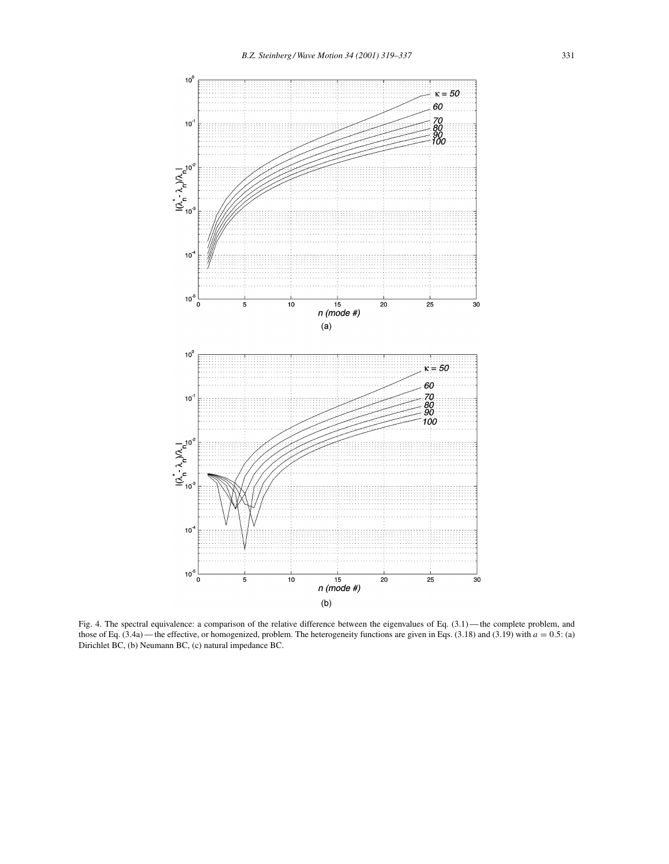

Fig. 4. The spectral equivalence: a comparison of the relative difference between the eigenvalues of Eq. (3.1) — the complete problem, and those of Eq.  $(3.4a)$ —the effective, or homogenized, problem. The heterogeneity functions are given in Eqs. (3.18) and (3.19) with  $a = 0.5$ : (a) Dirichlet BC, (b) Neumann BC, (c) natural impedance BC.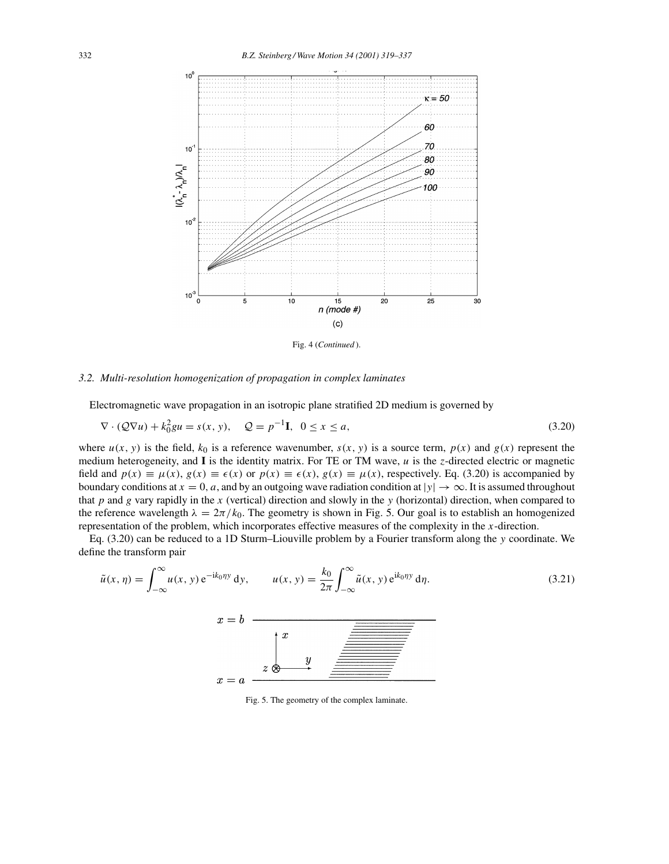

Fig. 4 (*Continued* ).

# *3.2. Multi-resolution homogenization of propagation in complex laminates*

Electromagnetic wave propagation in an isotropic plane stratified 2D medium is governed by

$$
\nabla \cdot (Q \nabla u) + k_0^2 g u = s(x, y), \quad Q = p^{-1} \mathbf{I}, \ \ 0 \le x \le a,
$$
\n(3.20)

where  $u(x, y)$  is the field,  $k_0$  is a reference wavenumber,  $s(x, y)$  is a source term,  $p(x)$  and  $g(x)$  represent the medium heterogeneity, and **I** is the identity matrix. For TE or TM wave, *u* is the *z*-directed electric or magnetic field and  $p(x) \equiv \mu(x)$ ,  $g(x) \equiv \epsilon(x)$  or  $p(x) \equiv \epsilon(x)$ ,  $g(x) \equiv \mu(x)$ , respectively. Eq. (3.20) is accompanied by boundary conditions at  $x = 0$ , a, and by an outgoing wave radiation condition at  $|y| \to \infty$ . It is assumed throughout that p and g vary rapidly in the x (vertical) direction and slowly in the y (horizontal) direction, when compared to the reference wavelength  $\lambda = 2\pi/k_0$ . The geometry is shown in Fig. 5. Our goal is to establish an homogenized representation of the problem, which incorporates effective measures of the complexity in the  $x$ -direction.

Eq. (3.20) can be reduced to a 1D Sturm–Liouville problem by a Fourier transform along the y coordinate. We define the transform pair

$$
\tilde{u}(x,\eta) = \int_{-\infty}^{\infty} u(x,y) e^{-ik_0\eta y} dy, \qquad u(x,y) = \frac{k_0}{2\pi} \int_{-\infty}^{\infty} \tilde{u}(x,y) e^{ik_0\eta y} d\eta.
$$
\n(3.21)



Fig. 5. The geometry of the complex laminate.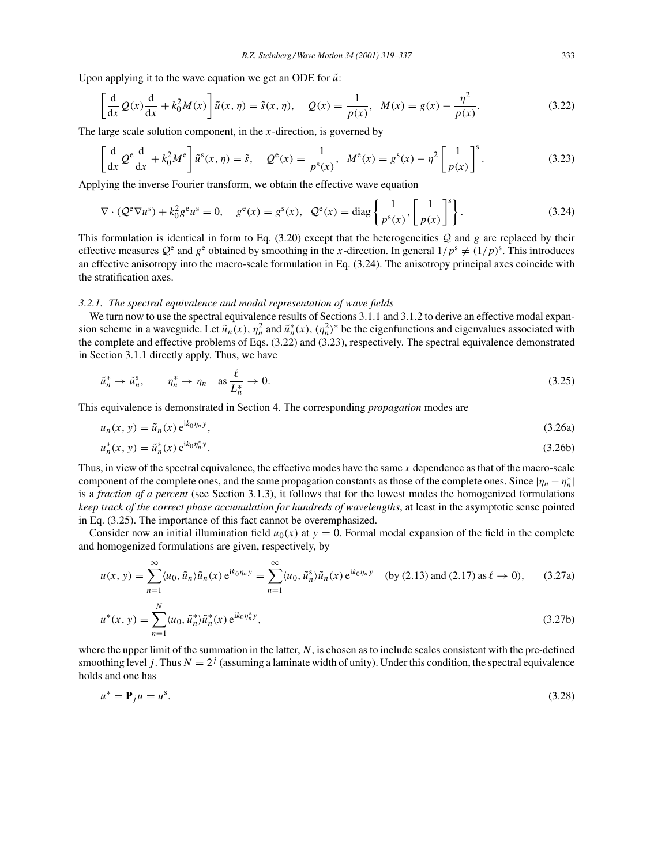Upon applying it to the wave equation we get an ODE for  $\tilde{u}$ :

$$
\left[\frac{d}{dx}Q(x)\frac{d}{dx} + k_0^2 M(x)\right]\tilde{u}(x,\eta) = \tilde{s}(x,\eta), \quad Q(x) = \frac{1}{p(x)}, \quad M(x) = g(x) - \frac{\eta^2}{p(x)}.
$$
\n(3.22)

The large scale solution component, in the  $x$ -direction, is governed by

$$
\left[\frac{\mathrm{d}}{\mathrm{d}x}\,Q^{\mathrm{e}}\frac{\mathrm{d}}{\mathrm{d}x} + k_0^2 M^{\mathrm{e}}\right]\tilde{u}^{\mathrm{s}}(x,\eta) = \tilde{s}, \quad Q^{\mathrm{e}}(x) = \frac{1}{p^{\mathrm{s}}(x)}, \quad M^{\mathrm{e}}(x) = g^{\mathrm{s}}(x) - \eta^2 \left[\frac{1}{p(x)}\right]^{\mathrm{s}}.
$$

Applying the inverse Fourier transform, we obtain the effective wave equation

$$
\nabla \cdot (\mathcal{Q}^e \nabla u^s) + k_0^2 g^e u^s = 0, \quad g^e(x) = g^s(x), \quad \mathcal{Q}^e(x) = \text{diag}\left\{ \frac{1}{p^s(x)}, \left[ \frac{1}{p(x)} \right]^s \right\}. \tag{3.24}
$$

This formulation is identical in form to Eq.  $(3.20)$  except that the heterogeneities Q and g are replaced by their effective measures  $Q^e$  and  $g^e$  obtained by smoothing in the x-direction. In general  $1/p^s \neq (1/p)^s$ . This introduces an effective anisotropy into the macro-scale formulation in Eq. (3.24). The anisotropy principal axes coincide with the stratification axes.

#### *3.2.1. The spectral equivalence and modal representation of wave fields*

We turn now to use the spectral equivalence results of Sections 3.1.1 and 3.1.2 to derive an effective modal expansion scheme in a waveguide. Let  $\tilde{u}_n(x)$ ,  $\eta_n^2$  and  $\tilde{u}_n^*(x)$ ,  $(\eta_n^2)^*$  be the eigenfunctions and eigenvalues associated with the complete and effective problems of Eqs. (3.22) and (3.23), respectively. The spectral equivalence demonstrated in Section 3.1.1 directly apply. Thus, we have

$$
\tilde{u}_n^* \to \tilde{u}_n^s, \qquad \eta_n^* \to \eta_n \quad \text{as } \frac{\ell}{L_n^*} \to 0.
$$
\n
$$
(3.25)
$$

This equivalence is demonstrated in Section 4. The corresponding *propagation* modes are

$$
u_n(x, y) = \tilde{u}_n(x) e^{ik_0 \eta_n y}, \tag{3.26a}
$$

$$
u_n^*(x, y) = \tilde{u}_n^*(x) e^{ik_0 \eta_n^* y}.
$$
\n
$$
(3.26b)
$$

Thus, in view of the spectral equivalence, the effective modes have the same  $x$  dependence as that of the macro-scale component of the complete ones, and the same propagation constants as those of the complete ones. Since  $|\eta_n - \eta_n^*|$ is a *fraction of a percent* (see Section 3.1.3), it follows that for the lowest modes the homogenized formulations *keep track of the correct phase accumulation for hundreds of wavelengths*, at least in the asymptotic sense pointed in Eq. (3.25). The importance of this fact cannot be overemphasized.

Consider now an initial illumination field  $u_0(x)$  at  $y = 0$ . Formal modal expansion of the field in the complete and homogenized formulations are given, respectively, by

$$
u(x, y) = \sum_{n=1}^{\infty} \langle u_0, \tilde{u}_n \rangle \tilde{u}_n(x) e^{ik_0 \eta_n y} = \sum_{n=1}^{\infty} \langle u_0, \tilde{u}_n^s \rangle \tilde{u}_n(x) e^{ik_0 \eta_n y} \quad \text{(by (2.13) and (2.17) as } \ell \to 0), \tag{3.27a}
$$

$$
u^*(x, y) = \sum_{n=1}^{N} \langle u_0, \tilde{u}_n^* \rangle \tilde{u}_n^*(x) e^{ik_0 \eta_n^* y}, \qquad (3.27b)
$$

where the upper limit of the summation in the latter,  $N$ , is chosen as to include scales consistent with the pre-defined smoothing level j. Thus  $N = 2<sup>j</sup>$  (assuming a laminate width of unity). Under this condition, the spectral equivalence holds and one has

$$
u^* = \mathbf{P}_j u = u^s. \tag{3.28}
$$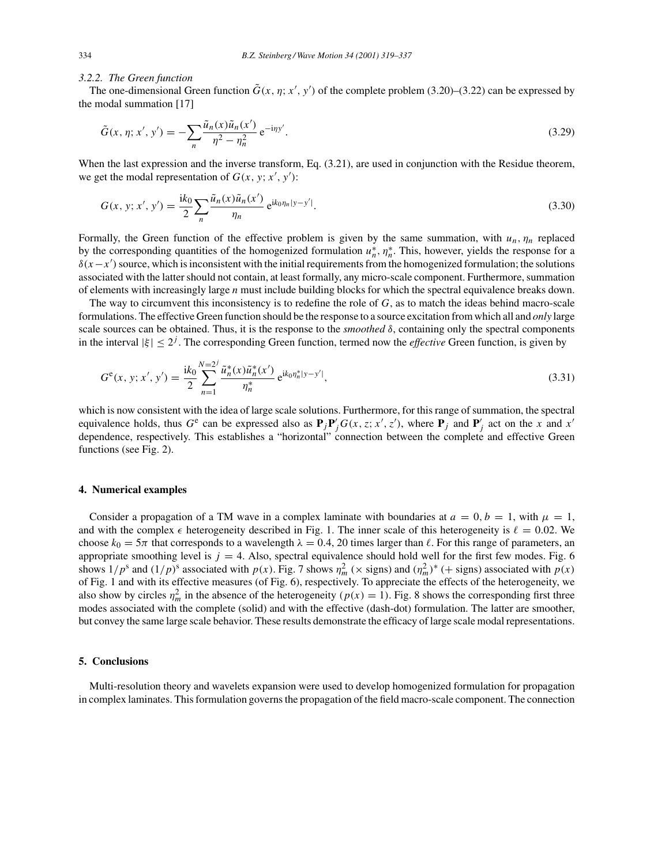#### *3.2.2. The Green function*

The one-dimensional Green function  $\tilde{G}(x, \eta; x', y')$  of the complete problem (3.20)–(3.22) can be expressed by the modal summation [17]

$$
\tilde{G}(x, \eta; x', y') = -\sum_{n} \frac{\tilde{u}_n(x)\tilde{u}_n(x')}{\eta^2 - \eta_n^2} e^{-i\eta y'}.
$$
\n(3.29)

When the last expression and the inverse transform, Eq.  $(3.21)$ , are used in conjunction with the Residue theorem, we get the modal representation of  $G(x, y; x', y')$ :

$$
G(x, y; x', y') = \frac{ik_0}{2} \sum_{n} \frac{\tilde{u}_n(x)\tilde{u}_n(x')}{\eta_n} e^{ik_0 \eta_n |y - y'|}.
$$
\n(3.30)

Formally, the Green function of the effective problem is given by the same summation, with  $u_n$ ,  $\eta_n$  replaced by the corresponding quantities of the homogenized formulation  $u_n^*$ ,  $\eta_n^*$ . This, however, yields the response for a  $\delta(x-x')$  source, which is inconsistent with the initial requirements from the homogenized formulation; the solutions associated with the latter should not contain, at least formally, any micro-scale component. Furthermore, summation of elements with increasingly large  $n$  must include building blocks for which the spectral equivalence breaks down.

The way to circumvent this inconsistency is to redefine the role of  $G$ , as to match the ideas behind macro-scale formulations. The effective Green function should be the response to a source excitation from which all and *only* large scale sources can be obtained. Thus, it is the response to the *smoothed*  $\delta$ , containing only the spectral components in the interval  $|\xi| \leq 2^{j}$ . The corresponding Green function, termed now the *effective* Green function, is given by

$$
G^{e}(x, y; x', y') = \frac{\mathrm{i}k_0}{2} \sum_{n=1}^{N=2^{j}} \frac{\tilde{u}_n^*(x)\tilde{u}_n^*(x')}{\eta_n^*} e^{\mathrm{i}k_0 \eta_n^* |y - y'|},
$$
(3.31)

which is now consistent with the idea of large scale solutions. Furthermore, for this range of summation, the spectral equivalence holds, thus  $G^e$  can be expressed also as  $P_jP'_jG(x, z; x', z')$ , where  $P_j$  and  $P'_j$  act on the x and x' dependence, respectively. This establishes a "horizontal" connection between the complete and effective Green functions (see Fig. 2).

## **4. Numerical examples**

Consider a propagation of a TM wave in a complex laminate with boundaries at  $a = 0, b = 1$ , with  $\mu = 1$ , and with the complex  $\epsilon$  heterogeneity described in Fig. 1. The inner scale of this heterogeneity is  $\ell = 0.02$ . We choose  $k_0 = 5\pi$  that corresponds to a wavelength  $\lambda = 0.4$ , 20 times larger than  $\ell$ . For this range of parameters, an appropriate smoothing level is  $j = 4$ . Also, spectral equivalence should hold well for the first few modes. Fig. 6 shows  $1/p^s$  and  $(1/p)^s$  associated with  $p(x)$ . Fig. 7 shows  $\eta_m^2$  ( $\times$  signs) and  $(\eta_m^2)^*$  ( $+$  signs) associated with  $p(x)$ of Fig. 1 and with its effective measures (of Fig. 6), respectively. To appreciate the effects of the heterogeneity, we also show by circles  $\eta_m^2$  in the absence of the heterogeneity ( $p(x) = 1$ ). Fig. 8 shows the corresponding first three modes associated with the complete (solid) and with the effective (dash-dot) formulation. The latter are smoother, but convey the same large scale behavior. These results demonstrate the efficacy of large scale modal representations.

#### **5. Conclusions**

Multi-resolution theory and wavelets expansion were used to develop homogenized formulation for propagation in complex laminates. This formulation governs the propagation of the field macro-scale component. The connection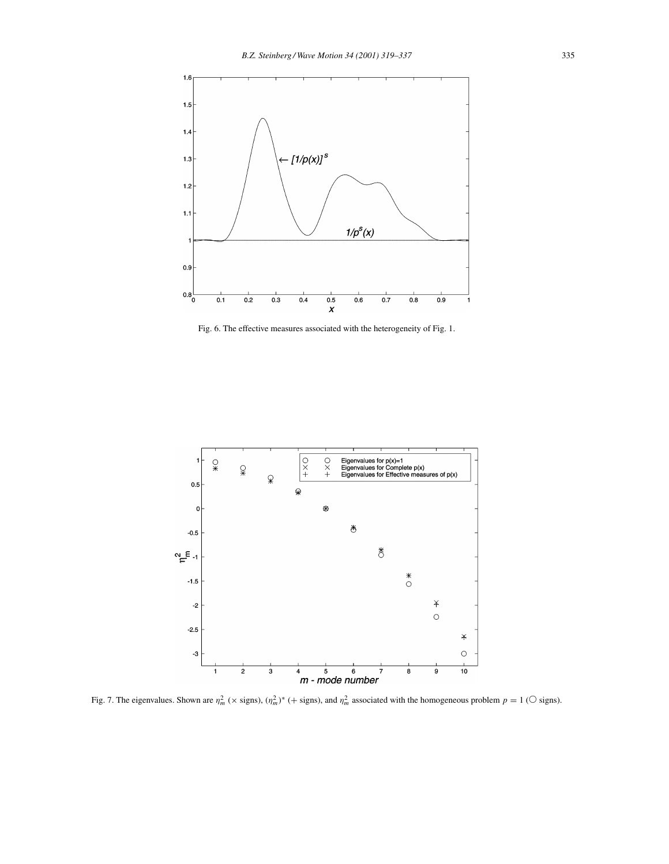

Fig. 6. The effective measures associated with the heterogeneity of Fig. 1.



Fig. 7. The eigenvalues. Shown are  $\eta_m^2$  ( $\times$  signs),  $(\eta_m^2)^*$  (+ signs), and  $\eta_m^2$  associated with the homogeneous problem  $p = 1$  ( $\circ$  signs).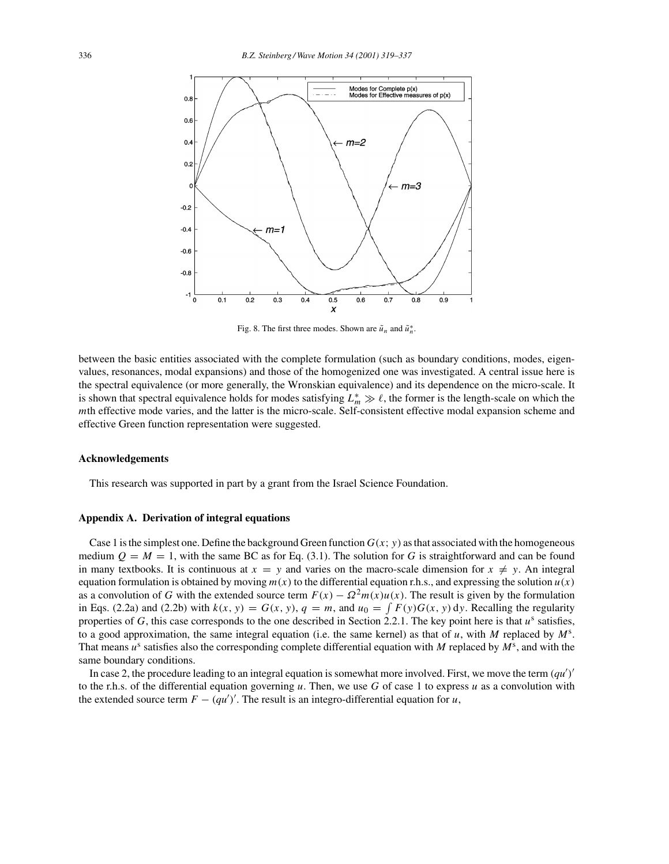

Fig. 8. The first three modes. Shown are  $\tilde{u}_n$  and  $\tilde{u}_n^*$ .

between the basic entities associated with the complete formulation (such as boundary conditions, modes, eigenvalues, resonances, modal expansions) and those of the homogenized one was investigated. A central issue here is the spectral equivalence (or more generally, the Wronskian equivalence) and its dependence on the micro-scale. It is shown that spectral equivalence holds for modes satisfying  $L_m^* \gg \ell$ , the former is the length-scale on which the mth effective mode varies, and the latter is the micro-scale. Self-consistent effective modal expansion scheme and effective Green function representation were suggested.

#### **Acknowledgements**

This research was supported in part by a grant from the Israel Science Foundation.

#### **Appendix A. Derivation of integral equations**

Case 1 is the simplest one. Define the background Green function  $G(x; y)$  as that associated with the homogeneous medium  $Q = M = 1$ , with the same BC as for Eq. (3.1). The solution for G is straightforward and can be found in many textbooks. It is continuous at  $x = y$  and varies on the macro-scale dimension for  $x \neq y$ . An integral equation formulation is obtained by moving  $m(x)$  to the differential equation r.h.s., and expressing the solution  $u(x)$ as a convolution of G with the extended source term  $F(x) - \Omega^2 m(x)u(x)$ . The result is given by the formulation in Eqs. (2.2a) and (2.2b) with  $k(x, y) = G(x, y)$ ,  $q = m$ , and  $u_0 = \int F(y)G(x, y) dy$ . Recalling the regularity properties of G, this case corresponds to the one described in Section 2.2.1. The key point here is that  $u<sup>s</sup>$  satisfies, to a good approximation, the same integral equation (i.e. the same kernel) as that of  $u$ , with M replaced by  $M^s$ . That means  $u^s$  satisfies also the corresponding complete differential equation with M replaced by  $M^s$ , and with the same boundary conditions.

In case 2, the procedure leading to an integral equation is somewhat more involved. First, we move the term  $(qu')'$ to the r.h.s. of the differential equation governing u. Then, we use G of case 1 to express u as a convolution with the extended source term  $F - (qu')'$ . The result is an integro-differential equation for u,